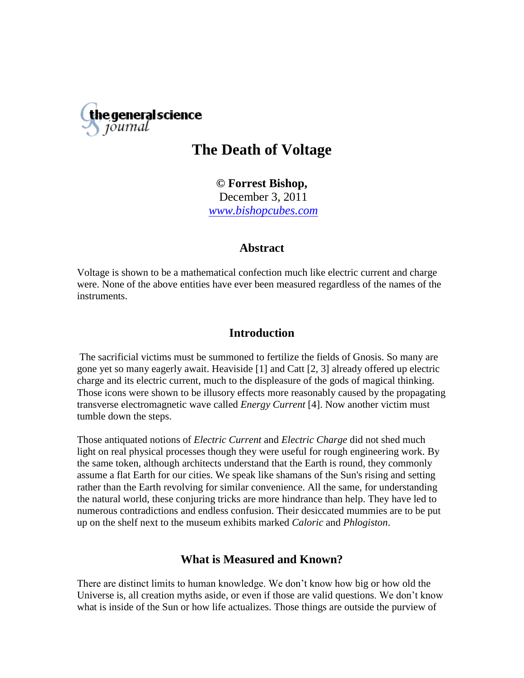

# **The Death of Voltage**

**© Forrest Bishop,** December 3, 2011 *[www.bishopcubes.com](http://www.bishopcubes.com/)*

### **Abstract**

Voltage is shown to be a mathematical confection much like electric current and charge were. None of the above entities have ever been measured regardless of the names of the instruments.

### **Introduction**

The sacrificial victims must be summoned to fertilize the fields of Gnosis. So many are gone yet so many eagerly await. Heaviside [1] and Catt [2, 3] already offered up electric charge and its electric current, much to the displeasure of the gods of magical thinking. Those icons were shown to be illusory effects more reasonably caused by the propagating transverse electromagnetic wave called *Energy Current* [4]. Now another victim must tumble down the steps.

Those antiquated notions of *Electric Current* and *Electric Charge* did not shed much light on real physical processes though they were useful for rough engineering work. By the same token, although architects understand that the Earth is round, they commonly assume a flat Earth for our cities. We speak like shamans of the Sun's rising and setting rather than the Earth revolving for similar convenience. All the same, for understanding the natural world, these conjuring tricks are more hindrance than help. They have led to numerous contradictions and endless confusion. Their desiccated mummies are to be put up on the shelf next to the museum exhibits marked *Caloric* and *Phlogiston*.

## **What is Measured and Known?**

There are distinct limits to human knowledge. We don"t know how big or how old the Universe is, all creation myths aside, or even if those are valid questions. We don"t know what is inside of the Sun or how life actualizes. Those things are outside the purview of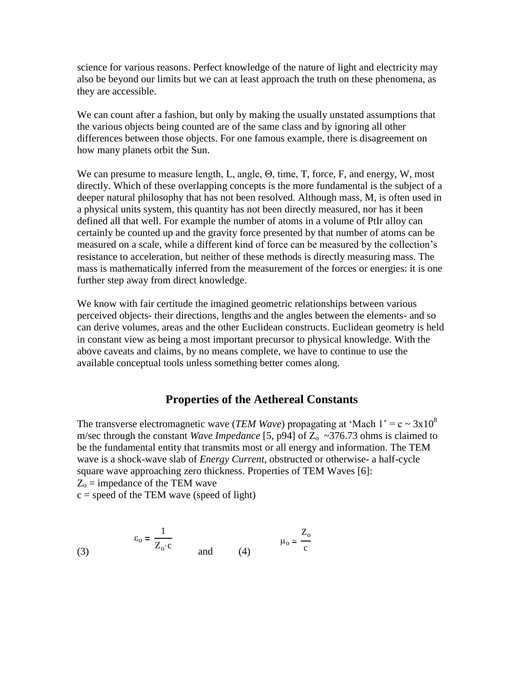science for various reasons. Perfect knowledge of the nature of light and electricity may also be beyond our limits but we can at least approach the truth on these phenomena, as they are accessible.

We can count after a fashion, but only by making the usually unstated assumptions that the various objects being counted are of the same class and by ignoring all other differences between those objects. For one famous example, there is disagreement on how many planets orbit the Sun.

We can presume to measure length, L, angle, Θ, time, T, force, F, and energy, W, most directly. Which of these overlapping concepts is the more fundamental is the subject of a deeper natural philosophy that has not been resolved. Although mass, M, is often used in a physical units system, this quantity has not been directly measured, nor has it been defined all that well. For example the number of atoms in a volume of PtIr alloy can certainly be counted up and the gravity force presented by that number of atoms can be measured on a scale, while a different kind of force can be measured by the collection"s resistance to acceleration, but neither of these methods is directly measuring mass. The mass is mathematically inferred from the measurement of the forces or energies: it is one further step away from direct knowledge.

We know with fair certitude the imagined geometric relationships between various perceived objects- their directions, lengths and the angles between the elements- and so can derive volumes, areas and the other Euclidean constructs. Euclidean geometry is held in constant view as being a most important precursor to physical knowledge. With the above caveats and claims, by no means complete, we have to continue to use the available conceptual tools unless something better comes along.

### **Properties of the Aethereal Constants**

The transverse electromagnetic wave (*TEM Wave*) propagating at 'Mach 1' =  $c \sim 3x10^8$ m/sec through the constant *Wave Impedance* [5, p94] of  $\overline{Z_0} \sim 376.73$  ohms is claimed to be the fundamental entity that transmits most or all energy and information. The TEM wave is a shock-wave slab of *Energy Current*, obstructed or otherwise- a half-cycle square wave approaching zero thickness. Properties of TEM Waves [6]:  $Z_0$  = impedance of the TEM wave

 $c = speed of the TEM wave (speed of light)$ 

(3)

$$
\varepsilon_{o} = \frac{1}{Z_{o} \cdot c} \qquad \text{and} \qquad (4) \qquad \mu_{o} = \frac{Z_{o}}{c}
$$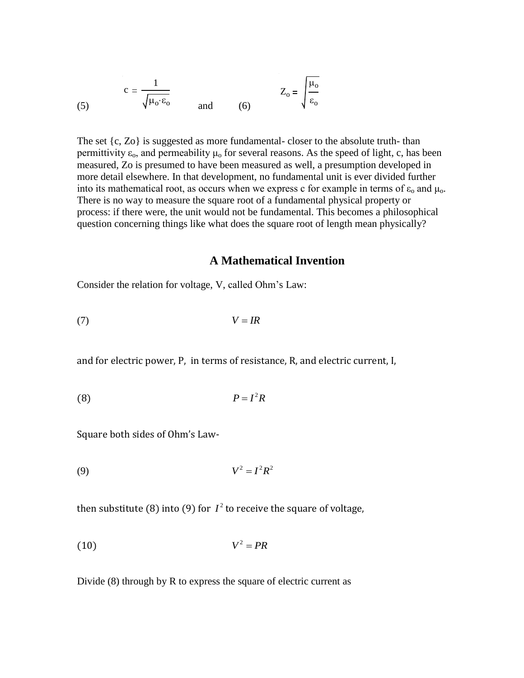(5) 
$$
c = \frac{1}{\sqrt{\mu_0 \varepsilon_0}} \quad \text{and} \quad (6) \quad Z_0 = \sqrt{\frac{\mu_0}{\varepsilon_0}}
$$

The set  $\{c, Zo\}$  is suggested as more fundamental-closer to the absolute truth-than permittivity  $\varepsilon_0$ , and permeability  $\mu_0$  for several reasons. As the speed of light, c, has been measured, Zo is presumed to have been measured as well, a presumption developed in more detail elsewhere. In that development, no fundamental unit is ever divided further into its mathematical root, as occurs when we express c for example in terms of  $\varepsilon_0$  and  $\mu_0$ . There is no way to measure the square root of a fundamental physical property or process: if there were, the unit would not be fundamental. This becomes a philosophical question concerning things like what does the square root of length mean physically?

#### **A Mathematical Invention**

Consider the relation for voltage, V, called Ohm"s Law:

$$
(7) \t\t V = IR
$$

and for electric power, P, in terms of resistance, R, and electric current, I,

$$
(8) \t\t\t P = I^2 R
$$

Square both sides of Ohm's Law-

$$
(9) \t\t V^2 = I^2 R^2
$$

then substitute (8) into (9) for  $I^2$  to receive the square of voltage,

$$
(10) \t\t V^2 = PR
$$

Divide (8) through by R to express the square of electric current as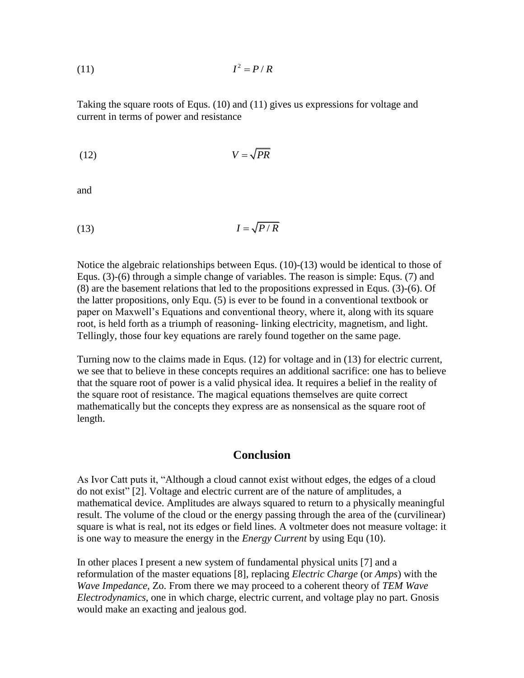$$
(11) \tI2 = P/R
$$

Taking the square roots of Equs. (10) and (11) gives us expressions for voltage and current in terms of power and resistance

$$
(12) \t\t V = \sqrt{PR}
$$

and

$$
(13) \tI = \sqrt{P/R}
$$

Notice the algebraic relationships between Equs. (10)-(13) would be identical to those of Equs. (3)-(6) through a simple change of variables. The reason is simple: Equs. (7) and (8) are the basement relations that led to the propositions expressed in Equs. (3)-(6). Of the latter propositions, only Equ. (5) is ever to be found in a conventional textbook or paper on Maxwell"s Equations and conventional theory, where it, along with its square root, is held forth as a triumph of reasoning- linking electricity, magnetism, and light. Tellingly, those four key equations are rarely found together on the same page.

Turning now to the claims made in Equs. (12) for voltage and in (13) for electric current, we see that to believe in these concepts requires an additional sacrifice: one has to believe that the square root of power is a valid physical idea. It requires a belief in the reality of the square root of resistance. The magical equations themselves are quite correct mathematically but the concepts they express are as nonsensical as the square root of length.

#### **Conclusion**

As Ivor Catt puts it, "Although a cloud cannot exist without edges, the edges of a cloud do not exist" [2]. Voltage and electric current are of the nature of amplitudes, a mathematical device. Amplitudes are always squared to return to a physically meaningful result. The volume of the cloud or the energy passing through the area of the (curvilinear) square is what is real, not its edges or field lines. A voltmeter does not measure voltage: it is one way to measure the energy in the *Energy Current* by using Equ (10).

In other places I present a new system of fundamental physical units [7] and a reformulation of the master equations [8], replacing *Electric Charge* (or *Amps*) with the *Wave Impedance*, Zo. From there we may proceed to a coherent theory of *TEM Wave Electrodynamics*, one in which charge, electric current, and voltage play no part. Gnosis would make an exacting and jealous god.